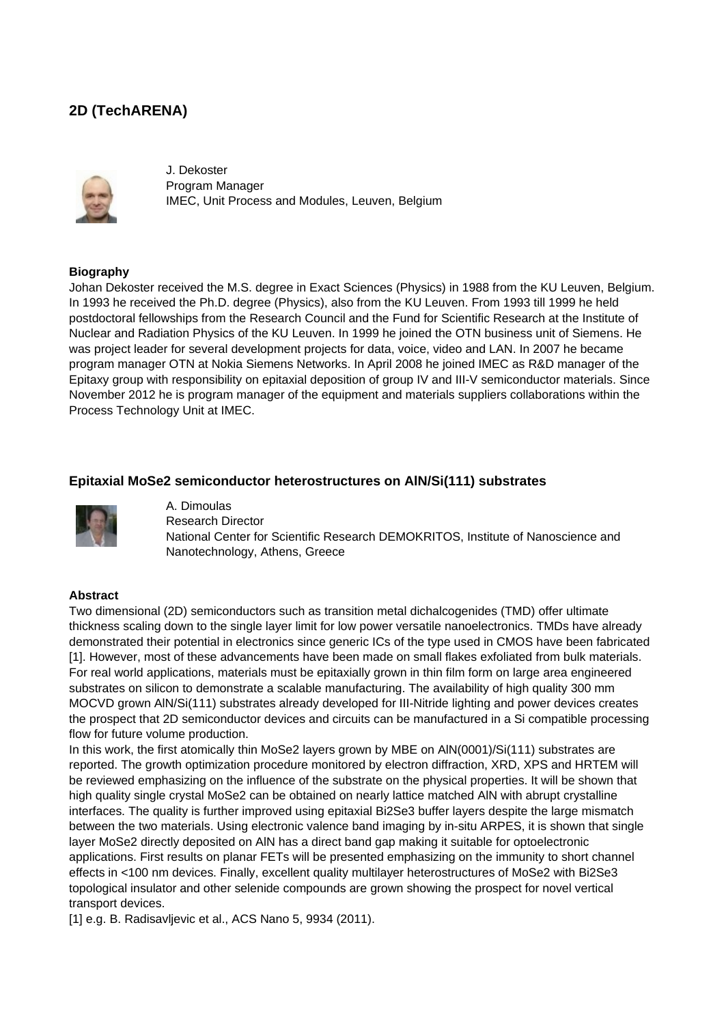# **2D (TechARENA)**



J. Dekoster Program Manager IMEC, Unit Process and Modules, Leuven, Belgium

### **Biography**

Johan Dekoster received the M.S. degree in Exact Sciences (Physics) in 1988 from the KU Leuven, Belgium. In 1993 he received the Ph.D. degree (Physics), also from the KU Leuven. From 1993 till 1999 he held postdoctoral fellowships from the Research Council and the Fund for Scientific Research at the Institute of Nuclear and Radiation Physics of the KU Leuven. In 1999 he joined the OTN business unit of Siemens. He was project leader for several development projects for data, voice, video and LAN. In 2007 he became program manager OTN at Nokia Siemens Networks. In April 2008 he joined IMEC as R&D manager of the Epitaxy group with responsibility on epitaxial deposition of group IV and III-V semiconductor materials. Since November 2012 he is program manager of the equipment and materials suppliers collaborations within the Process Technology Unit at IMEC.

# **Epitaxial MoSe2 semiconductor heterostructures on AlN/Si(111) substrates**



A. Dimoulas Research Director National Center for Scientific Research DEMOKRITOS, Institute of Nanoscience and Nanotechnology, Athens, Greece

#### **Abstract**

Two dimensional (2D) semiconductors such as transition metal dichalcogenides (TMD) offer ultimate thickness scaling down to the single layer limit for low power versatile nanoelectronics. TMDs have already demonstrated their potential in electronics since generic ICs of the type used in CMOS have been fabricated [1]. However, most of these advancements have been made on small flakes exfoliated from bulk materials. For real world applications, materials must be epitaxially grown in thin film form on large area engineered substrates on silicon to demonstrate a scalable manufacturing. The availability of high quality 300 mm MOCVD grown AlN/Si(111) substrates already developed for III-Nitride lighting and power devices creates the prospect that 2D semiconductor devices and circuits can be manufactured in a Si compatible processing flow for future volume production.

In this work, the first atomically thin MoSe2 layers grown by MBE on AlN(0001)/Si(111) substrates are reported. The growth optimization procedure monitored by electron diffraction, XRD, XPS and HRTEM will be reviewed emphasizing on the influence of the substrate on the physical properties. It will be shown that high quality single crystal MoSe2 can be obtained on nearly lattice matched AlN with abrupt crystalline interfaces. The quality is further improved using epitaxial Bi2Se3 buffer layers despite the large mismatch between the two materials. Using electronic valence band imaging by in-situ ARPES, it is shown that single layer MoSe2 directly deposited on AlN has a direct band gap making it suitable for optoelectronic applications. First results on planar FETs will be presented emphasizing on the immunity to short channel effects in <100 nm devices. Finally, excellent quality multilayer heterostructures of MoSe2 with Bi2Se3 topological insulator and other selenide compounds are grown showing the prospect for novel vertical transport devices.

[1] e.g. B. Radisavljevic et al., ACS Nano 5, 9934 (2011).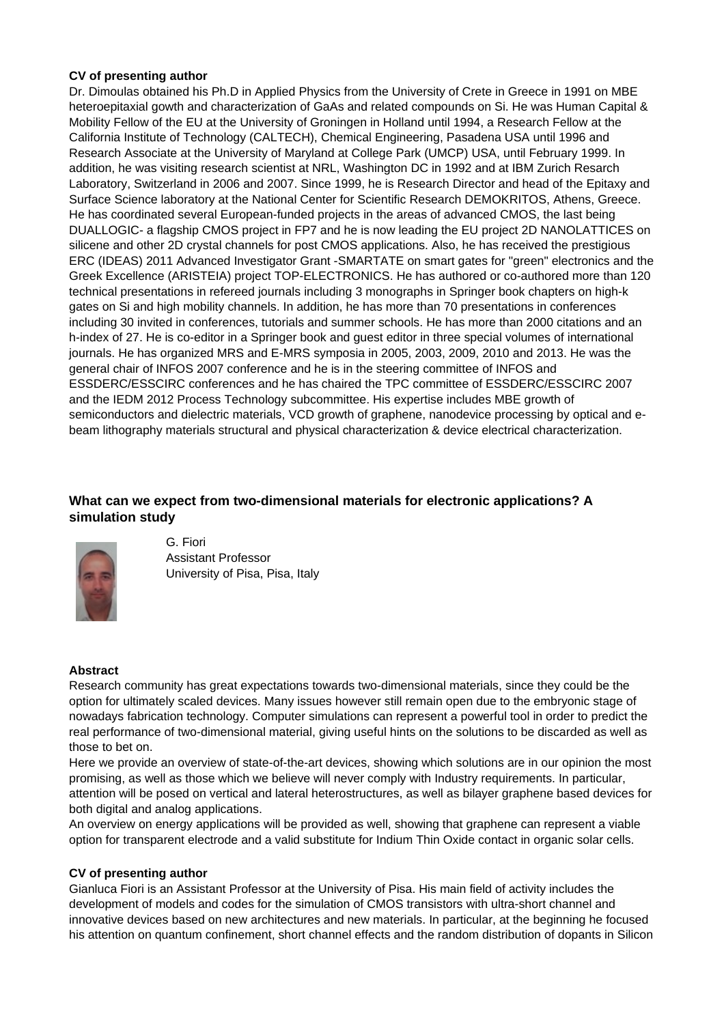# **CV of presenting author**

Dr. Dimoulas obtained his Ph.D in Applied Physics from the University of Crete in Greece in 1991 on MBE heteroepitaxial gowth and characterization of GaAs and related compounds on Si. He was Human Capital & Mobility Fellow of the EU at the University of Groningen in Holland until 1994, a Research Fellow at the California Institute of Technology (CALTECH), Chemical Engineering, Pasadena USA until 1996 and Research Associate at the University of Maryland at College Park (UMCP) USA, until February 1999. In addition, he was visiting research scientist at NRL, Washington DC in 1992 and at IBM Zurich Resarch Laboratory, Switzerland in 2006 and 2007. Since 1999, he is Research Director and head of the Epitaxy and Surface Science laboratory at the National Center for Scientific Research DEMOKRITOS, Athens, Greece. He has coordinated several European-funded projects in the areas of advanced CMOS, the last being DUALLOGIC- a flagship CMOS project in FP7 and he is now leading the EU project 2D NANOLATTICES on silicene and other 2D crystal channels for post CMOS applications. Also, he has received the prestigious ERC (IDEAS) 2011 Advanced Investigator Grant -SMARTATE on smart gates for "green" electronics and the Greek Excellence (ARISTEIA) project TOP-ELECTRONICS. He has authored or co-authored more than 120 technical presentations in refereed journals including 3 monographs in Springer book chapters on high-k gates on Si and high mobility channels. In addition, he has more than 70 presentations in conferences including 30 invited in conferences, tutorials and summer schools. He has more than 2000 citations and an h-index of 27. He is co-editor in a Springer book and guest editor in three special volumes of international journals. He has organized MRS and E-MRS symposia in 2005, 2003, 2009, 2010 and 2013. He was the general chair of INFOS 2007 conference and he is in the steering committee of INFOS and ESSDERC/ESSCIRC conferences and he has chaired the TPC committee of ESSDERC/ESSCIRC 2007 and the IEDM 2012 Process Technology subcommittee. His expertise includes MBE growth of semiconductors and dielectric materials, VCD growth of graphene, nanodevice processing by optical and ebeam lithography materials structural and physical characterization & device electrical characterization.

# **What can we expect from two-dimensional materials for electronic applications? A simulation study**



G. Fiori Assistant Professor University of Pisa, Pisa, Italy

#### **Abstract**

Research community has great expectations towards two-dimensional materials, since they could be the option for ultimately scaled devices. Many issues however still remain open due to the embryonic stage of nowadays fabrication technology. Computer simulations can represent a powerful tool in order to predict the real performance of two-dimensional material, giving useful hints on the solutions to be discarded as well as those to bet on.

Here we provide an overview of state-of-the-art devices, showing which solutions are in our opinion the most promising, as well as those which we believe will never comply with Industry requirements. In particular, attention will be posed on vertical and lateral heterostructures, as well as bilayer graphene based devices for both digital and analog applications.

An overview on energy applications will be provided as well, showing that graphene can represent a viable option for transparent electrode and a valid substitute for Indium Thin Oxide contact in organic solar cells.

#### **CV of presenting author**

Gianluca Fiori is an Assistant Professor at the University of Pisa. His main field of activity includes the development of models and codes for the simulation of CMOS transistors with ultra-short channel and innovative devices based on new architectures and new materials. In particular, at the beginning he focused his attention on quantum confinement, short channel effects and the random distribution of dopants in Silicon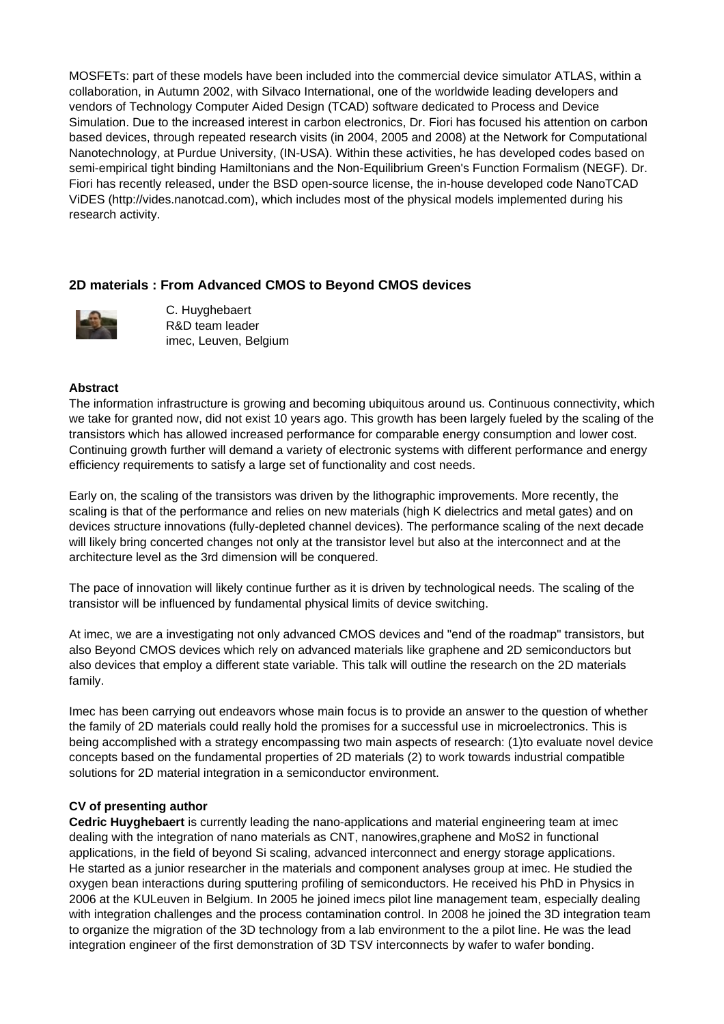MOSFETs: part of these models have been included into the commercial device simulator ATLAS, within a collaboration, in Autumn 2002, with Silvaco International, one of the worldwide leading developers and vendors of Technology Computer Aided Design (TCAD) software dedicated to Process and Device Simulation. Due to the increased interest in carbon electronics, Dr. Fiori has focused his attention on carbon based devices, through repeated research visits (in 2004, 2005 and 2008) at the Network for Computational Nanotechnology, at Purdue University, (IN-USA). Within these activities, he has developed codes based on semi-empirical tight binding Hamiltonians and the Non-Equilibrium Green's Function Formalism (NEGF). Dr. Fiori has recently released, under the BSD open-source license, the in-house developed code NanoTCAD ViDES (http://vides.nanotcad.com), which includes most of the physical models implemented during his research activity.

# **2D materials : From Advanced CMOS to Beyond CMOS devices**



C. Huyghebaert R&D team leader imec, Leuven, Belgium

#### **Abstract**

The information infrastructure is growing and becoming ubiquitous around us. Continuous connectivity, which we take for granted now, did not exist 10 years ago. This growth has been largely fueled by the scaling of the transistors which has allowed increased performance for comparable energy consumption and lower cost. Continuing growth further will demand a variety of electronic systems with different performance and energy efficiency requirements to satisfy a large set of functionality and cost needs.

Early on, the scaling of the transistors was driven by the lithographic improvements. More recently, the scaling is that of the performance and relies on new materials (high K dielectrics and metal gates) and on devices structure innovations (fully-depleted channel devices). The performance scaling of the next decade will likely bring concerted changes not only at the transistor level but also at the interconnect and at the architecture level as the 3rd dimension will be conquered.

The pace of innovation will likely continue further as it is driven by technological needs. The scaling of the transistor will be influenced by fundamental physical limits of device switching.

At imec, we are a investigating not only advanced CMOS devices and "end of the roadmap" transistors, but also Beyond CMOS devices which rely on advanced materials like graphene and 2D semiconductors but also devices that employ a different state variable. This talk will outline the research on the 2D materials family.

Imec has been carrying out endeavors whose main focus is to provide an answer to the question of whether the family of 2D materials could really hold the promises for a successful use in microelectronics. This is being accomplished with a strategy encompassing two main aspects of research: (1)to evaluate novel device concepts based on the fundamental properties of 2D materials (2) to work towards industrial compatible solutions for 2D material integration in a semiconductor environment.

#### **CV of presenting author**

**Cedric Huyghebaert** is currently leading the nano-applications and material engineering team at imec dealing with the integration of nano materials as CNT, nanowires,graphene and MoS2 in functional applications, in the field of beyond Si scaling, advanced interconnect and energy storage applications. He started as a junior researcher in the materials and component analyses group at imec. He studied the oxygen bean interactions during sputtering profiling of semiconductors. He received his PhD in Physics in 2006 at the KULeuven in Belgium. In 2005 he joined imecs pilot line management team, especially dealing with integration challenges and the process contamination control. In 2008 he joined the 3D integration team to organize the migration of the 3D technology from a lab environment to the a pilot line. He was the lead integration engineer of the first demonstration of 3D TSV interconnects by wafer to wafer bonding.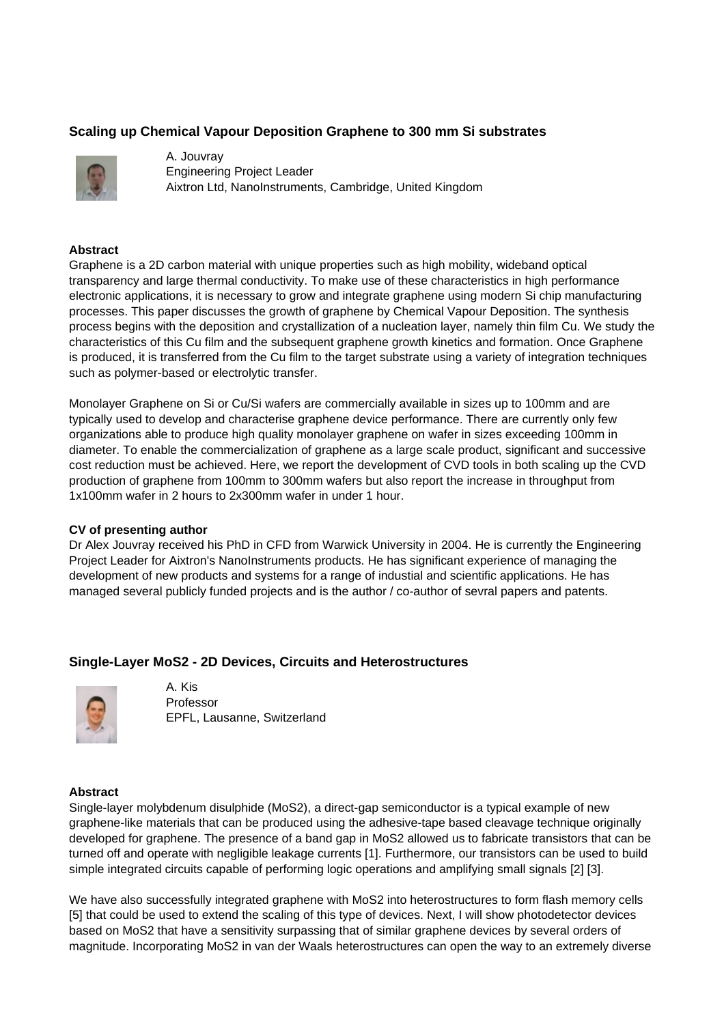# **Scaling up Chemical Vapour Deposition Graphene to 300 mm Si substrates**



A. Jouvray Engineering Project Leader Aixtron Ltd, NanoInstruments, Cambridge, United Kingdom

### **Abstract**

Graphene is a 2D carbon material with unique properties such as high mobility, wideband optical transparency and large thermal conductivity. To make use of these characteristics in high performance electronic applications, it is necessary to grow and integrate graphene using modern Si chip manufacturing processes. This paper discusses the growth of graphene by Chemical Vapour Deposition. The synthesis process begins with the deposition and crystallization of a nucleation layer, namely thin film Cu. We study the characteristics of this Cu film and the subsequent graphene growth kinetics and formation. Once Graphene is produced, it is transferred from the Cu film to the target substrate using a variety of integration techniques such as polymer-based or electrolytic transfer.

Monolayer Graphene on Si or Cu/Si wafers are commercially available in sizes up to 100mm and are typically used to develop and characterise graphene device performance. There are currently only few organizations able to produce high quality monolayer graphene on wafer in sizes exceeding 100mm in diameter. To enable the commercialization of graphene as a large scale product, significant and successive cost reduction must be achieved. Here, we report the development of CVD tools in both scaling up the CVD production of graphene from 100mm to 300mm wafers but also report the increase in throughput from 1x100mm wafer in 2 hours to 2x300mm wafer in under 1 hour.

# **CV of presenting author**

Dr Alex Jouvray received his PhD in CFD from Warwick University in 2004. He is currently the Engineering Project Leader for Aixtron's NanoInstruments products. He has significant experience of managing the development of new products and systems for a range of industial and scientific applications. He has managed several publicly funded projects and is the author / co-author of sevral papers and patents.

# **Single-Layer MoS2 - 2D Devices, Circuits and Heterostructures**



A. Kis Professor EPFL, Lausanne, Switzerland

#### **Abstract**

Single-layer molybdenum disulphide (MoS2), a direct-gap semiconductor is a typical example of new graphene-like materials that can be produced using the adhesive-tape based cleavage technique originally developed for graphene. The presence of a band gap in MoS2 allowed us to fabricate transistors that can be turned off and operate with negligible leakage currents [1]. Furthermore, our transistors can be used to build simple integrated circuits capable of performing logic operations and amplifying small signals [2] [3].

We have also successfully integrated graphene with MoS2 into heterostructures to form flash memory cells [5] that could be used to extend the scaling of this type of devices. Next, I will show photodetector devices based on MoS2 that have a sensitivity surpassing that of similar graphene devices by several orders of magnitude. Incorporating MoS2 in van der Waals heterostructures can open the way to an extremely diverse